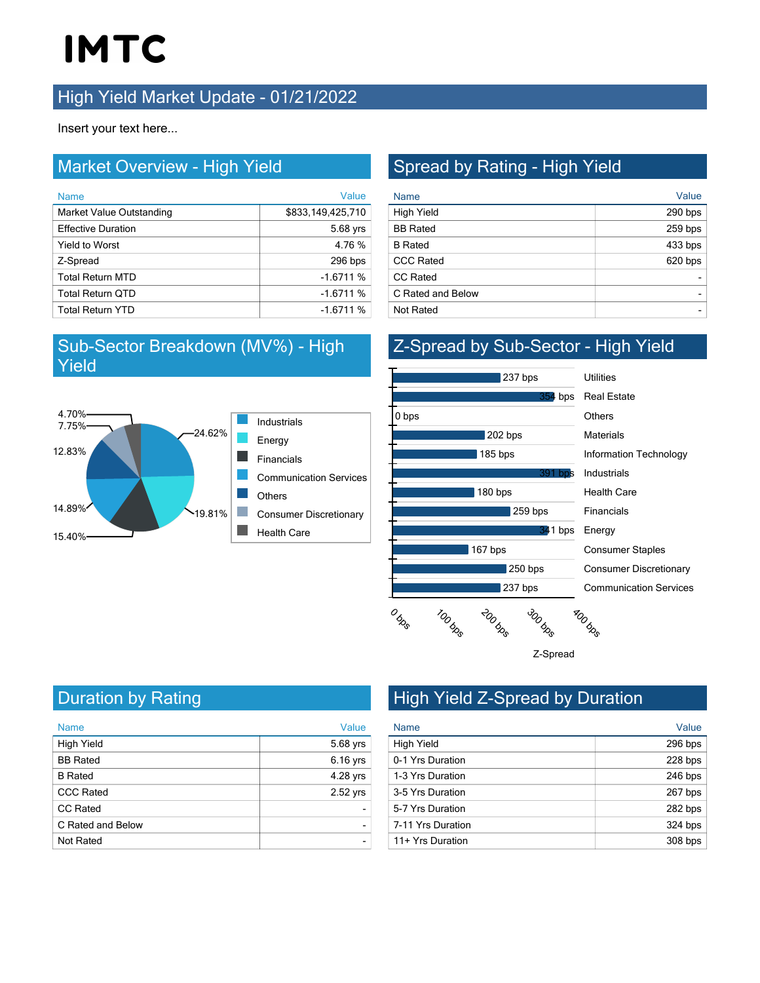# **IMTC**

### **High Yield Market Update - 01/21/2022**

Insert your text here...

#### Market Overview - High Yield

| <b>Name</b>               | Value             |
|---------------------------|-------------------|
| Market Value Outstanding  | \$833,149,425,710 |
| <b>Effective Duration</b> | 5.68 yrs          |
| <b>Yield to Worst</b>     | 4.76 %            |
| Z-Spread                  | 296 bps           |
| <b>Total Return MTD</b>   | $-1.6711%$        |
| <b>Total Return QTD</b>   | $-1.6711%$        |
| <b>Total Return YTD</b>   | $-1.6711%$        |

#### Sub-Sector Breakdown (MV%) - High Yield



### Spread by Rating - High Yield

| <b>Name</b>       | Value     |
|-------------------|-----------|
| <b>High Yield</b> | 290 bps   |
| <b>BB</b> Rated   | 259 bps   |
| <b>B</b> Rated    | $433$ bps |
| <b>CCC Rated</b>  | 620 bps   |
| <b>CC Rated</b>   |           |
| C Rated and Below |           |
| <b>Not Rated</b>  |           |

#### Z-Spread by Sub-Sector - High Yield



Communication Services Consumer Discretionary Consumer Staples Financials Health Care Industrials Information Technology **Materials** 



Duration by Rating

| <b>Name</b>       | Value    |
|-------------------|----------|
| <b>High Yield</b> | 5.68 yrs |
| <b>BB</b> Rated   | 6.16 yrs |
| <b>B</b> Rated    | 4.28 yrs |
| <b>CCC Rated</b>  | 2.52 yrs |
| <b>CC Rated</b>   |          |
| C Rated and Below |          |
| <b>Not Rated</b>  |          |

## High Yield Z-Spread by Duration

| <b>Name</b>       | Value     |
|-------------------|-----------|
| <b>High Yield</b> | 296 bps   |
| 0-1 Yrs Duration  | 228 bps   |
| 1-3 Yrs Duration  | 246 bps   |
| 3-5 Yrs Duration  | 267 bps   |
| 5-7 Yrs Duration  | 282 bps   |
| 7-11 Yrs Duration | $324$ bps |
| 11+ Yrs Duration  | $308$ bps |